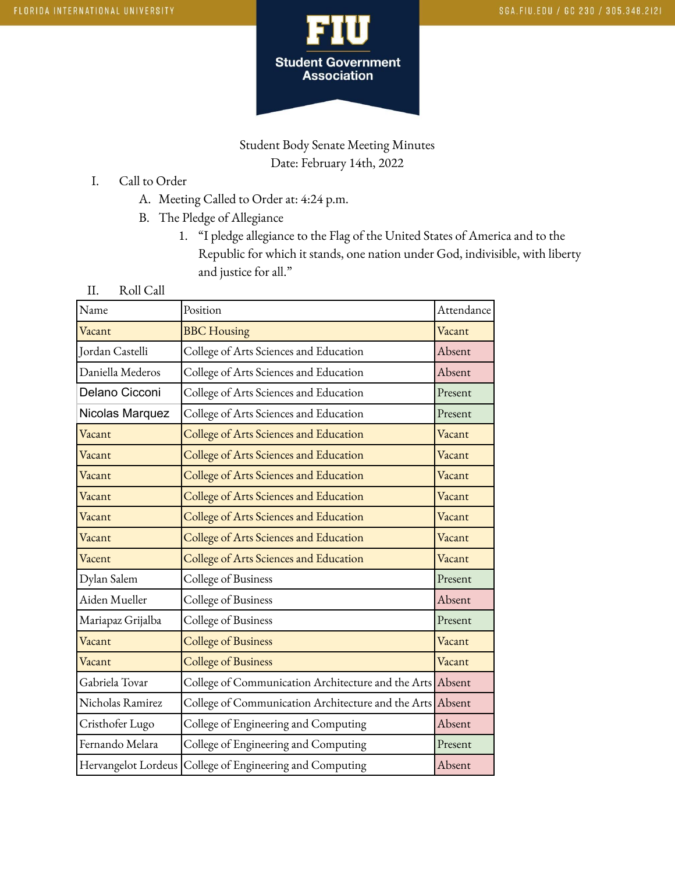

## Student Body Senate Meeting Minutes Date: February 14th, 2022

- I. Call to Order
	- A. Meeting Called to Order at: 4:24 p.m.
	- B. The Pledge of Allegiance
		- 1. "I pledge allegiance to the Flag of the United States of America and to the Republic for which it stands, one nation under God, indivisible, with liberty and justice for all."
- II. Roll Call

| Name                | Position                                                  | Attendance |
|---------------------|-----------------------------------------------------------|------------|
| Vacant              | <b>BBC</b> Housing                                        | Vacant     |
| Jordan Castelli     | College of Arts Sciences and Education                    | Absent     |
| Daniella Mederos    | College of Arts Sciences and Education                    | Absent     |
| Delano Cicconi      | College of Arts Sciences and Education                    | Present    |
| Nicolas Marquez     | College of Arts Sciences and Education                    | Present    |
| Vacant              | College of Arts Sciences and Education                    | Vacant     |
| Vacant              | College of Arts Sciences and Education                    | Vacant     |
| Vacant              | College of Arts Sciences and Education                    | Vacant     |
| Vacant              | College of Arts Sciences and Education                    | Vacant     |
| Vacant              | College of Arts Sciences and Education                    | Vacant     |
| Vacant              | College of Arts Sciences and Education                    | Vacant     |
| Vacent              | College of Arts Sciences and Education                    | Vacant     |
| Dylan Salem         | College of Business                                       | Present    |
| Aiden Mueller       | College of Business                                       | Absent     |
| Mariapaz Grijalba   | College of Business                                       | Present    |
| Vacant              | <b>College of Business</b>                                | Vacant     |
| Vacant              | <b>College of Business</b>                                | Vacant     |
| Gabriela Tovar      | College of Communication Architecture and the Arts Absent |            |
| Nicholas Ramirez    | College of Communication Architecture and the Arts Absent |            |
| Cristhofer Lugo     | College of Engineering and Computing                      | Absent     |
| Fernando Melara     | College of Engineering and Computing                      | Present    |
| Hervangelot Lordeus | College of Engineering and Computing                      | Absent     |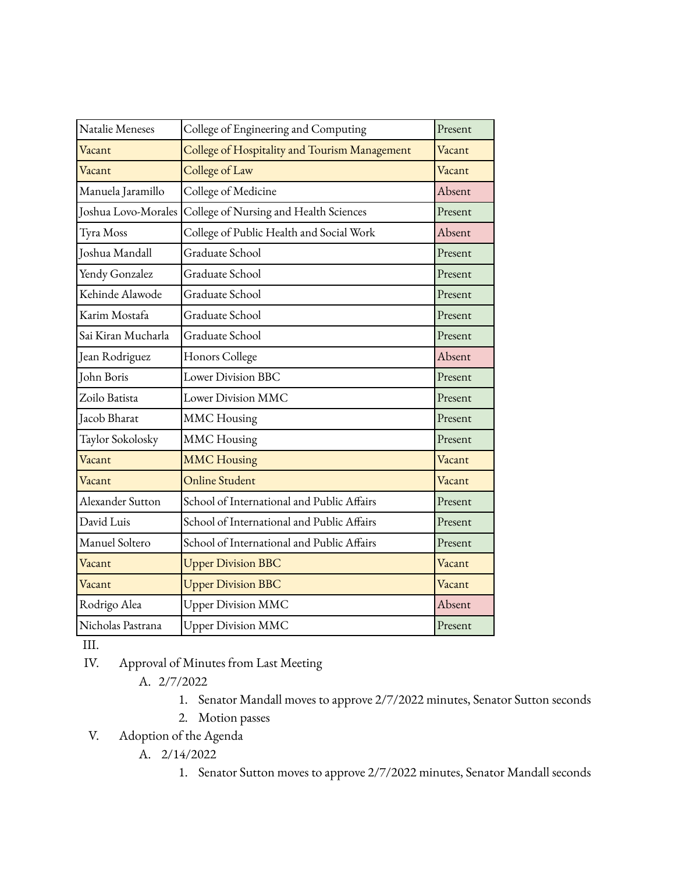| Natalie Meneses     | College of Engineering and Computing          | Present |
|---------------------|-----------------------------------------------|---------|
| Vacant              | College of Hospitality and Tourism Management | Vacant  |
| Vacant              | College of Law                                | Vacant  |
| Manuela Jaramillo   | College of Medicine                           | Absent  |
| Joshua Lovo-Morales | College of Nursing and Health Sciences        | Present |
| Tyra Moss           | College of Public Health and Social Work      | Absent  |
| Joshua Mandall      | Graduate School                               | Present |
| Yendy Gonzalez      | Graduate School                               | Present |
| Kehinde Alawode     | Graduate School                               | Present |
| Karim Mostafa       | Graduate School                               | Present |
| Sai Kiran Mucharla  | Graduate School                               | Present |
| Jean Rodriguez      | Honors College                                | Absent  |
| John Boris          | Lower Division BBC                            | Present |
| Zoilo Batista       | Lower Division MMC                            | Present |
| Jacob Bharat        | <b>MMC</b> Housing                            | Present |
| Taylor Sokolosky    | <b>MMC</b> Housing                            | Present |
| Vacant              | <b>MMC Housing</b>                            | Vacant  |
| Vacant              | <b>Online Student</b>                         | Vacant  |
| Alexander Sutton    | School of International and Public Affairs    | Present |
| David Luis          | School of International and Public Affairs    | Present |
| Manuel Soltero      | School of International and Public Affairs    | Present |
| Vacant              | <b>Upper Division BBC</b>                     | Vacant  |
| Vacant              | <b>Upper Division BBC</b>                     | Vacant  |
| Rodrigo Alea        | Upper Division MMC                            | Absent  |
| Nicholas Pastrana   | <b>Upper Division MMC</b>                     | Present |

III.

- IV. Approval of Minutes from Last Meeting
	- A. 2/7/2022
		- 1. Senator Mandall moves to approve 2/7/2022 minutes, Senator Sutton seconds
		- 2. Motion passes
- V. Adoption of the Agenda
	- A. 2/14/2022
		- 1. Senator Sutton moves to approve 2/7/2022 minutes, Senator Mandall seconds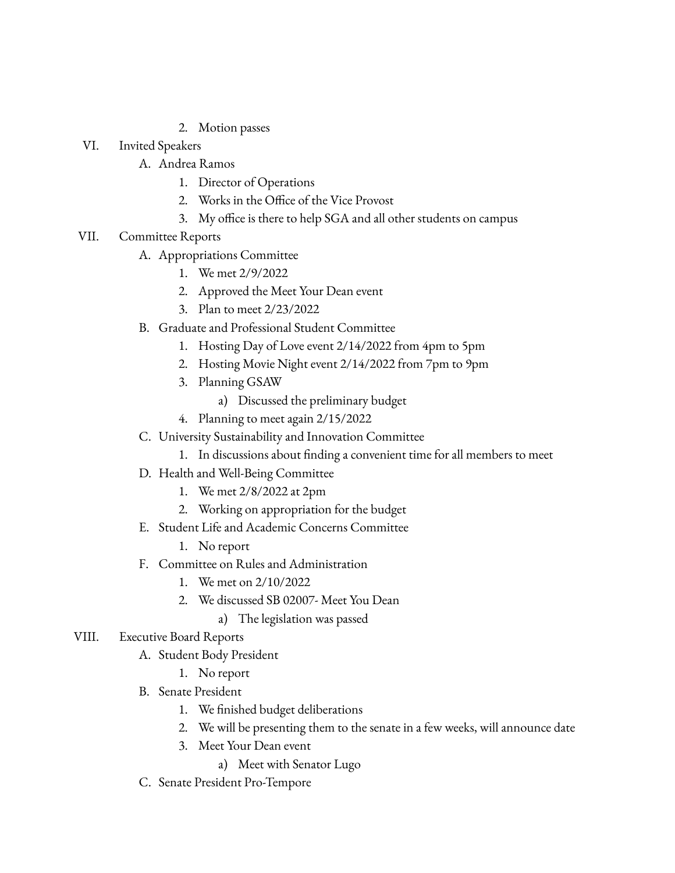- 2. Motion passes
- VI. Invited Speakers
	- A. Andrea Ramos
		- 1. Director of Operations
		- 2. Works in the Office of the Vice Provost
		- 3. My office is there to help SGA and all other students on campus
- VII. Committee Reports
	- A. Appropriations Committee
		- 1. We met 2/9/2022
		- 2. Approved the Meet Your Dean event
		- 3. Plan to meet 2/23/2022
	- B. Graduate and Professional Student Committee
		- 1. Hosting Day of Love event 2/14/2022 from 4pm to 5pm
		- 2. Hosting Movie Night event 2/14/2022 from 7pm to 9pm
		- 3. Planning GSAW
			- a) Discussed the preliminary budget
		- 4. Planning to meet again 2/15/2022
	- C. University Sustainability and Innovation Committee
		- 1. In discussions about finding a convenient time for all members to meet
	- D. Health and Well-Being Committee
		- 1. We met 2/8/2022 at 2pm
		- 2. Working on appropriation for the budget
	- E. Student Life and Academic Concerns Committee
		- 1. No report
	- F. Committee on Rules and Administration
		- 1. We met on 2/10/2022
		- 2. We discussed SB 02007- Meet You Dean
			- a) The legislation was passed
- VIII. Executive Board Reports
	- A. Student Body President
		- 1. No report
	- B. Senate President
		- 1. We finished budget deliberations
		- 2. We will be presenting them to the senate in a few weeks, will announce date
		- 3. Meet Your Dean event
			- a) Meet with Senator Lugo
	- C. Senate President Pro-Tempore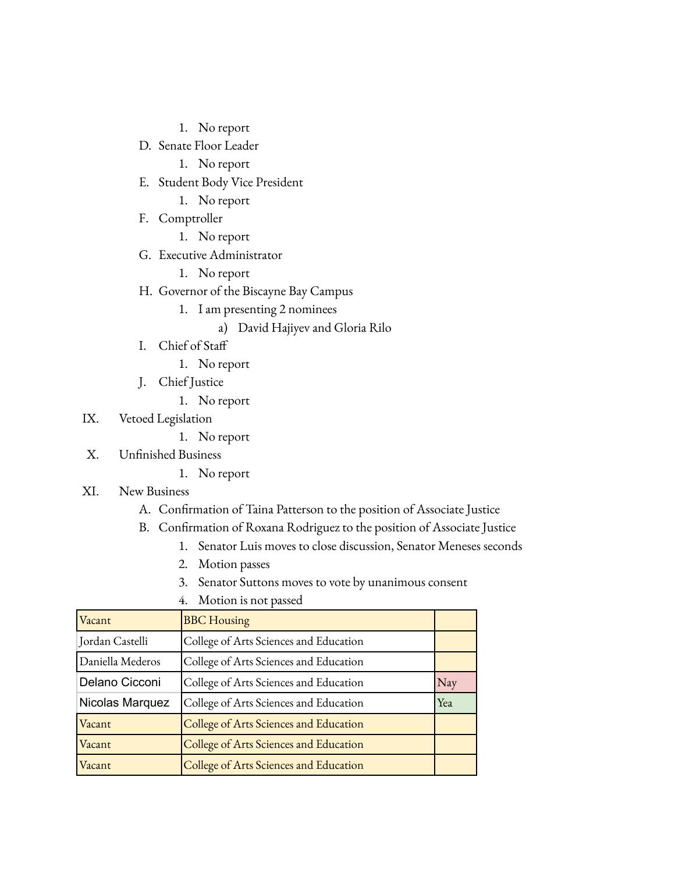- 1. No report
- D. Senate Floor Leader
	- 1. No report
- E. Student Body Vice President
	- 1. No report
- F. Comptroller
	- 1. No report
- G. Executive Administrator
	- 1. No report
- H. Governor of the Biscayne Bay Campus
	- 1. I am presenting 2 nominees
		- a) David Hajiyev and Gloria Rilo
- I. Chief of Staff
	- 1. No report
- J. Chief Justice
	- 1. No report
- IX. Vetoed Legislation
	- 1. No report
- X. Unfinished Business
	- 1. No report
- XI. New Business
	- A. Confirmation of Taina Patterson to the position of Associate Justice
	- B. Confirmation of Roxana Rodriguez to the position of Associate Justice
		- 1. Senator Luis moves to close discussion, Senator Meneses seconds
		- 2. Motion passes
		- 3. Senator Suttons moves to vote by unanimous consent

| Vacant           | <b>BBC</b> Housing                     |     |
|------------------|----------------------------------------|-----|
| Jordan Castelli  | College of Arts Sciences and Education |     |
| Daniella Mederos | College of Arts Sciences and Education |     |
| Delano Cicconi   | College of Arts Sciences and Education | Nay |
| Nicolas Marquez  | College of Arts Sciences and Education | Yea |
| Vacant           | College of Arts Sciences and Education |     |
| Vacant           | College of Arts Sciences and Education |     |
| Vacant           | College of Arts Sciences and Education |     |

4. Motion is not passed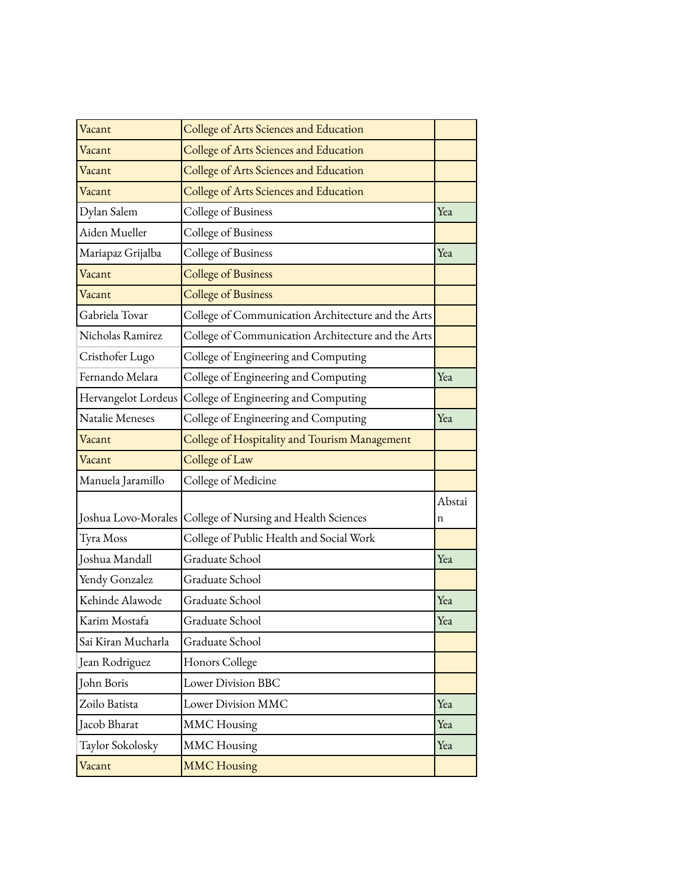| Vacant              | College of Arts Sciences and Education             |             |
|---------------------|----------------------------------------------------|-------------|
| Vacant              | College of Arts Sciences and Education             |             |
| Vacant              | College of Arts Sciences and Education             |             |
| Vacant              | College of Arts Sciences and Education             |             |
| Dylan Salem         | College of Business                                | Yea         |
| Aiden Mueller       | College of Business                                |             |
| Mariapaz Grijalba   | College of Business                                | Yea         |
| Vacant              | <b>College of Business</b>                         |             |
| Vacant              | <b>College of Business</b>                         |             |
| Gabriela Tovar      | College of Communication Architecture and the Arts |             |
| Nicholas Ramirez    | College of Communication Architecture and the Arts |             |
| Cristhofer Lugo     | College of Engineering and Computing               |             |
| Fernando Melara     | College of Engineering and Computing               | Yea         |
| Hervangelot Lordeus | College of Engineering and Computing               |             |
| Natalie Meneses     | College of Engineering and Computing               | Yea         |
| Vacant              | College of Hospitality and Tourism Management      |             |
|                     |                                                    |             |
| Vacant              | College of Law                                     |             |
| Manuela Jaramillo   | College of Medicine                                |             |
| Joshua Lovo-Morales | College of Nursing and Health Sciences             | Abstai<br>n |
| Tyra Moss           | College of Public Health and Social Work           |             |
| Joshua Mandall      | Graduate School                                    | Yea         |
| Yendy Gonzalez      | Graduate School                                    |             |
| Kehinde Alawode     | Graduate School                                    | Yea         |
| Karim Mostafa       | Graduate School                                    | Yea         |
| Sai Kiran Mucharla  | Graduate School                                    |             |
| Jean Rodriguez      | Honors College                                     |             |
| John Boris          | <b>Lower Division BBC</b>                          |             |
| Zoilo Batista       | Lower Division MMC                                 | Yea         |
| Jacob Bharat        | <b>MMC</b> Housing                                 | Yea         |
| Taylor Sokolosky    | <b>MMC</b> Housing                                 | Yea         |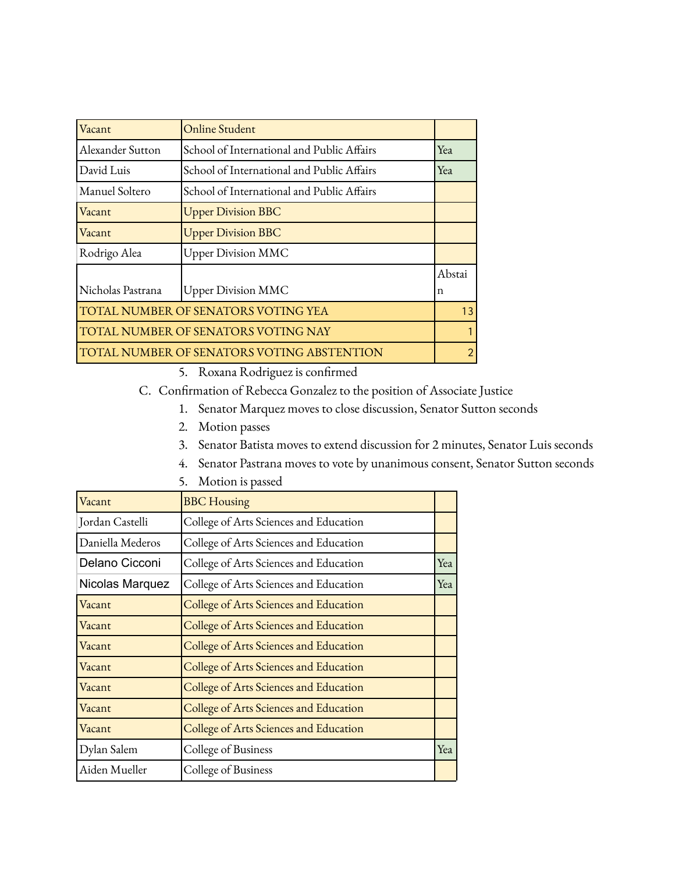| Vacant                                     | Online Student                             |        |
|--------------------------------------------|--------------------------------------------|--------|
| Alexander Sutton                           | School of International and Public Affairs | Yea    |
| David Luis                                 | School of International and Public Affairs | Yea    |
| Manuel Soltero                             | School of International and Public Affairs |        |
| Vacant                                     | <b>Upper Division BBC</b>                  |        |
| Vacant                                     | <b>Upper Division BBC</b>                  |        |
| Rodrigo Alea                               | <b>Upper Division MMC</b>                  |        |
|                                            |                                            | Abstai |
| Nicholas Pastrana                          | <b>Upper Division MMC</b>                  | n      |
| TOTAL NUMBER OF SENATORS VOTING YEA        |                                            | 13     |
| <b>TOTAL NUMBER OF SENATORS VOTING NAY</b> |                                            |        |
|                                            | TOTAL NUMBER OF SENATORS VOTING ABSTENTION | 2      |

- 5. Roxana Rodriguez is confirmed
- C. Confirmation of Rebecca Gonzalez to the position of Associate Justice
	- 1. Senator Marquez moves to close discussion, Senator Sutton seconds
	- 2. Motion passes
	- 3. Senator Batista moves to extend discussion for 2 minutes, Senator Luis seconds
	- 4. Senator Pastrana moves to vote by unanimous consent, Senator Sutton seconds

| Vacant           | <b>BBC</b> Housing                     |     |
|------------------|----------------------------------------|-----|
| Jordan Castelli  | College of Arts Sciences and Education |     |
| Daniella Mederos | College of Arts Sciences and Education |     |
| Delano Cicconi   | College of Arts Sciences and Education | Yea |
| Nicolas Marquez  | College of Arts Sciences and Education | Yea |
| Vacant           | College of Arts Sciences and Education |     |
| Vacant           | College of Arts Sciences and Education |     |
| Vacant           | College of Arts Sciences and Education |     |
| Vacant           | College of Arts Sciences and Education |     |
| Vacant           | College of Arts Sciences and Education |     |
| Vacant           | College of Arts Sciences and Education |     |
| Vacant           | College of Arts Sciences and Education |     |
| Dylan Salem      | College of Business                    | Yea |
| Aiden Mueller    | College of Business                    |     |

5. Motion is passed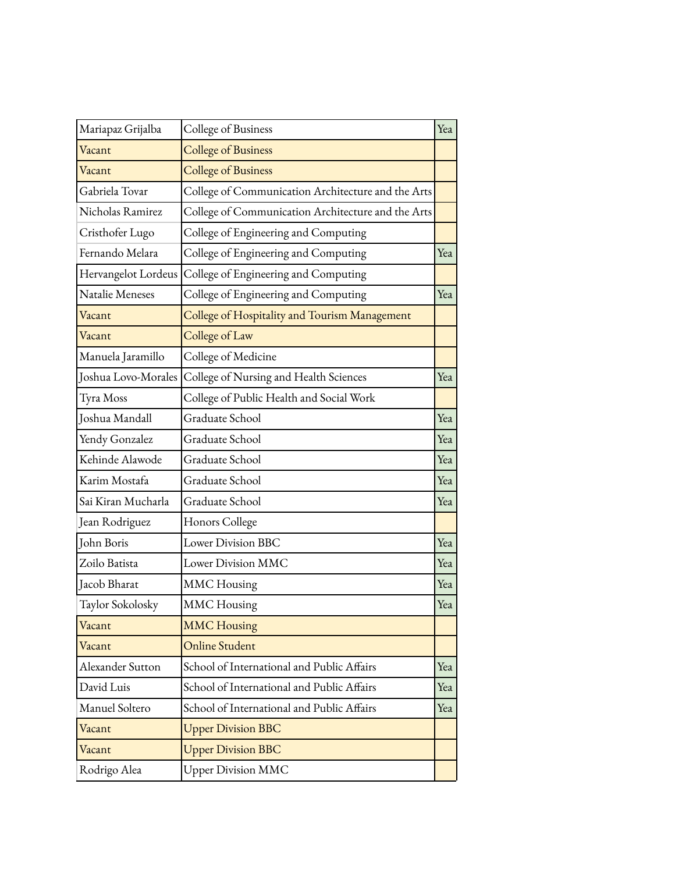| Mariapaz Grijalba   | College of Business                                | Yea |
|---------------------|----------------------------------------------------|-----|
| Vacant              | <b>College of Business</b>                         |     |
| Vacant              | <b>College of Business</b>                         |     |
| Gabriela Tovar      | College of Communication Architecture and the Arts |     |
| Nicholas Ramirez    | College of Communication Architecture and the Arts |     |
| Cristhofer Lugo     | College of Engineering and Computing               |     |
| Fernando Melara     | College of Engineering and Computing               | Yea |
| Hervangelot Lordeus | College of Engineering and Computing               |     |
| Natalie Meneses     | College of Engineering and Computing               | Yea |
| Vacant              | College of Hospitality and Tourism Management      |     |
| Vacant              | College of Law                                     |     |
| Manuela Jaramillo   | College of Medicine                                |     |
| Joshua Lovo-Morales | College of Nursing and Health Sciences             | Yea |
| Tyra Moss           | College of Public Health and Social Work           |     |
| Joshua Mandall      | Graduate School                                    | Yea |
| Yendy Gonzalez      | Graduate School                                    | Yea |
| Kehinde Alawode     | Graduate School                                    | Yea |
| Karim Mostafa       | Graduate School                                    | Yea |
| Sai Kiran Mucharla  | Graduate School                                    | Yea |
| Jean Rodriguez      | Honors College                                     |     |
| John Boris          | <b>Lower Division BBC</b>                          | Yea |
| Zoilo Batista       | Lower Division MMC                                 | Yea |
| Jacob Bharat        | <b>MMC</b> Housing                                 | Yea |
| Taylor Sokolosky    | <b>MMC</b> Housing                                 | Yea |
| Vacant              | <b>MMC Housing</b>                                 |     |
| Vacant              | <b>Online Student</b>                              |     |
| Alexander Sutton    | School of International and Public Affairs         | Yea |
| David Luis          | School of International and Public Affairs         | Yea |
| Manuel Soltero      | School of International and Public Affairs         | Yea |
| Vacant              | <b>Upper Division BBC</b>                          |     |
| Vacant              | <b>Upper Division BBC</b>                          |     |
| Rodrigo Alea        | <b>Upper Division MMC</b>                          |     |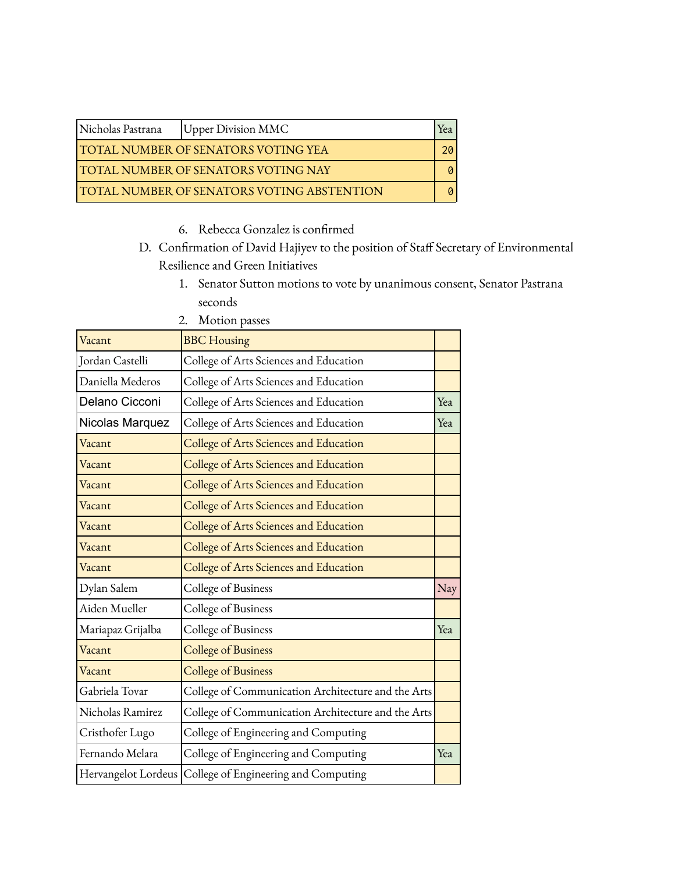| Nicholas Pastrana                                 | <b>Upper Division MMC</b> | rea |
|---------------------------------------------------|---------------------------|-----|
| <b>TOTAL NUMBER OF SENATORS VOTING YEA</b>        |                           |     |
| <b>TOTAL NUMBER OF SENATORS VOTING NAY</b>        |                           |     |
| <b>TOTAL NUMBER OF SENATORS VOTING ABSTENTION</b> |                           |     |

- 6. Rebecca Gonzalez is confirmed
- D. Confirmation of David Hajiyev to the position of Staff Secretary of Environmental Resilience and Green Initiatives
	- 1. Senator Sutton motions to vote by unanimous consent, Senator Pastrana seconds

| Vacant              | <b>BBC</b> Housing                                 |     |
|---------------------|----------------------------------------------------|-----|
| Jordan Castelli     | College of Arts Sciences and Education             |     |
| Daniella Mederos    | College of Arts Sciences and Education             |     |
| Delano Cicconi      | College of Arts Sciences and Education             | Yea |
| Nicolas Marquez     | College of Arts Sciences and Education             | Yea |
| Vacant              | College of Arts Sciences and Education             |     |
| Vacant              | College of Arts Sciences and Education             |     |
| Vacant              | College of Arts Sciences and Education             |     |
| Vacant              | College of Arts Sciences and Education             |     |
| Vacant              | College of Arts Sciences and Education             |     |
| Vacant              | College of Arts Sciences and Education             |     |
| Vacant              | College of Arts Sciences and Education             |     |
| Dylan Salem         | College of Business                                | Nay |
| Aiden Mueller       | College of Business                                |     |
| Mariapaz Grijalba   | College of Business                                | Yea |
| Vacant              | <b>College of Business</b>                         |     |
| Vacant              | <b>College of Business</b>                         |     |
| Gabriela Tovar      | College of Communication Architecture and the Arts |     |
| Nicholas Ramirez    | College of Communication Architecture and the Arts |     |
| Cristhofer Lugo     | College of Engineering and Computing               |     |
| Fernando Melara     | College of Engineering and Computing               | Yea |
| Hervangelot Lordeus | College of Engineering and Computing               |     |

2. Motion passes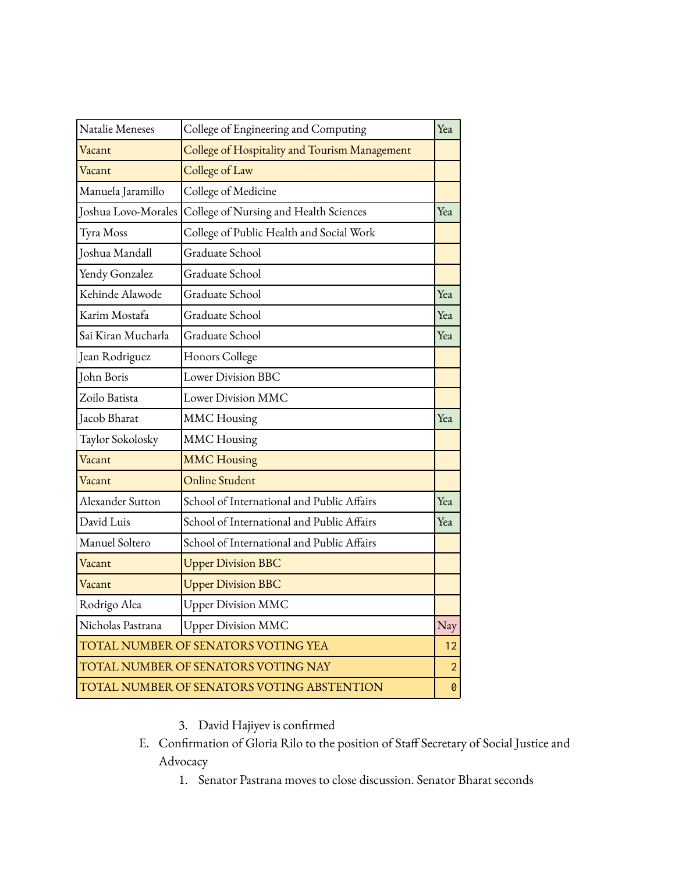| Natalie Meneses     | College of Engineering and Computing          | Yea            |
|---------------------|-----------------------------------------------|----------------|
| Vacant              | College of Hospitality and Tourism Management |                |
| Vacant              | College of Law                                |                |
| Manuela Jaramillo   | College of Medicine                           |                |
| Joshua Lovo-Morales | College of Nursing and Health Sciences        | Yea            |
| Tyra Moss           | College of Public Health and Social Work      |                |
| Joshua Mandall      | Graduate School                               |                |
| Yendy Gonzalez      | Graduate School                               |                |
| Kehinde Alawode     | Graduate School                               | Yea            |
| Karim Mostafa       | Graduate School                               | Yea            |
| Sai Kiran Mucharla  | Graduate School                               | Yea            |
| Jean Rodriguez      | Honors College                                |                |
| John Boris          | Lower Division BBC                            |                |
| Zoilo Batista       | Lower Division MMC                            |                |
| Jacob Bharat        | <b>MMC</b> Housing                            | Yea            |
| Taylor Sokolosky    | <b>MMC</b> Housing                            |                |
| Vacant              | <b>MMC Housing</b>                            |                |
| Vacant              | <b>Online Student</b>                         |                |
| Alexander Sutton    | School of International and Public Affairs    | Yea            |
| David Luis          | School of International and Public Affairs    | Yea            |
| Manuel Soltero      | School of International and Public Affairs    |                |
| Vacant              | <b>Upper Division BBC</b>                     |                |
| Vacant              | <b>Upper Division BBC</b>                     |                |
| Rodrigo Alea        | <b>Upper Division MMC</b>                     |                |
| Nicholas Pastrana   | <b>Upper Division MMC</b>                     | Nay            |
|                     | TOTAL NUMBER OF SENATORS VOTING YEA           | 12             |
|                     | TOTAL NUMBER OF SENATORS VOTING NAY           | $\overline{2}$ |
|                     | TOTAL NUMBER OF SENATORS VOTING ABSTENTION    | 0              |

- 3. David Hajiyev is confirmed
- E. Confirmation of Gloria Rilo to the position of Staff Secretary of Social Justice and Advocacy
	- 1. Senator Pastrana moves to close discussion. Senator Bharat seconds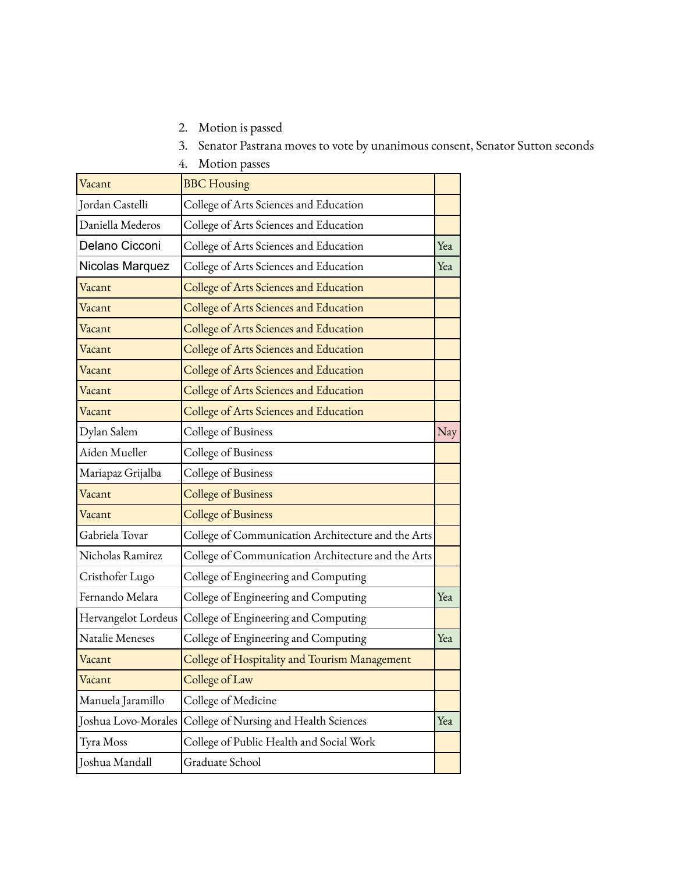2. Motion is passed

3. Senator Pastrana moves to vote by unanimous consent, Senator Sutton seconds

4. Motion passes

| Vacant              | <b>BBC</b> Housing                                 |     |
|---------------------|----------------------------------------------------|-----|
| Jordan Castelli     | College of Arts Sciences and Education             |     |
| Daniella Mederos    | College of Arts Sciences and Education             |     |
| Delano Cicconi      | College of Arts Sciences and Education             | Yea |
| Nicolas Marquez     | College of Arts Sciences and Education             | Yea |
| Vacant              | College of Arts Sciences and Education             |     |
| Vacant              | College of Arts Sciences and Education             |     |
| Vacant              | College of Arts Sciences and Education             |     |
| Vacant              | College of Arts Sciences and Education             |     |
| Vacant              | College of Arts Sciences and Education             |     |
| Vacant              | College of Arts Sciences and Education             |     |
| Vacant              | College of Arts Sciences and Education             |     |
| Dylan Salem         | College of Business                                | Nay |
| Aiden Mueller       | College of Business                                |     |
| Mariapaz Grijalba   | College of Business                                |     |
| Vacant              | <b>College of Business</b>                         |     |
| Vacant              | <b>College of Business</b>                         |     |
| Gabriela Tovar      | College of Communication Architecture and the Arts |     |
| Nicholas Ramirez    | College of Communication Architecture and the Arts |     |
| Cristhofer Lugo     | College of Engineering and Computing               |     |
| Fernando Melara     | College of Engineering and Computing               | Yea |
| Hervangelot Lordeus | College of Engineering and Computing               |     |
| Natalie Meneses     | College of Engineering and Computing               | Yea |
| Vacant              | College of Hospitality and Tourism Management      |     |
| Vacant              | College of Law                                     |     |
| Manuela Jaramillo   | College of Medicine                                |     |
| Joshua Lovo-Morales | College of Nursing and Health Sciences             | Yea |
| Tyra Moss           | College of Public Health and Social Work           |     |
| Joshua Mandall      | Graduate School                                    |     |